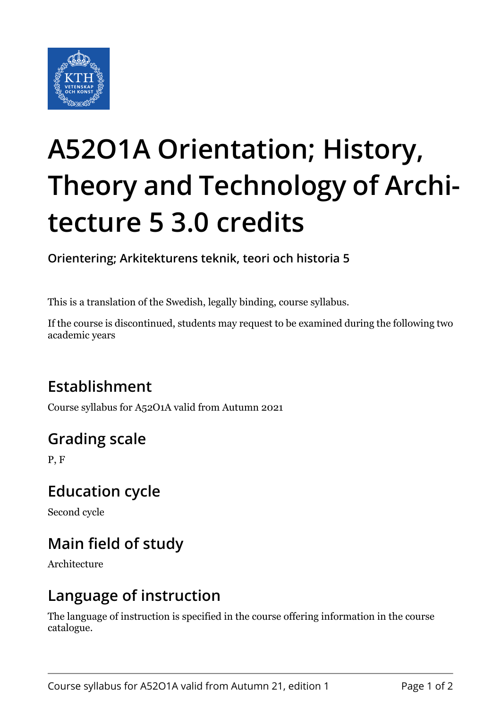

# **A52O1A Orientation; History, Theory and Technology of Architecture 5 3.0 credits**

**Orientering; Arkitekturens teknik, teori och historia 5**

This is a translation of the Swedish, legally binding, course syllabus.

If the course is discontinued, students may request to be examined during the following two academic years

### **Establishment**

Course syllabus for A52O1A valid from Autumn 2021

## **Grading scale**

P, F

#### **Education cycle**

Second cycle

## **Main field of study**

Architecture

#### **Language of instruction**

The language of instruction is specified in the course offering information in the course catalogue.